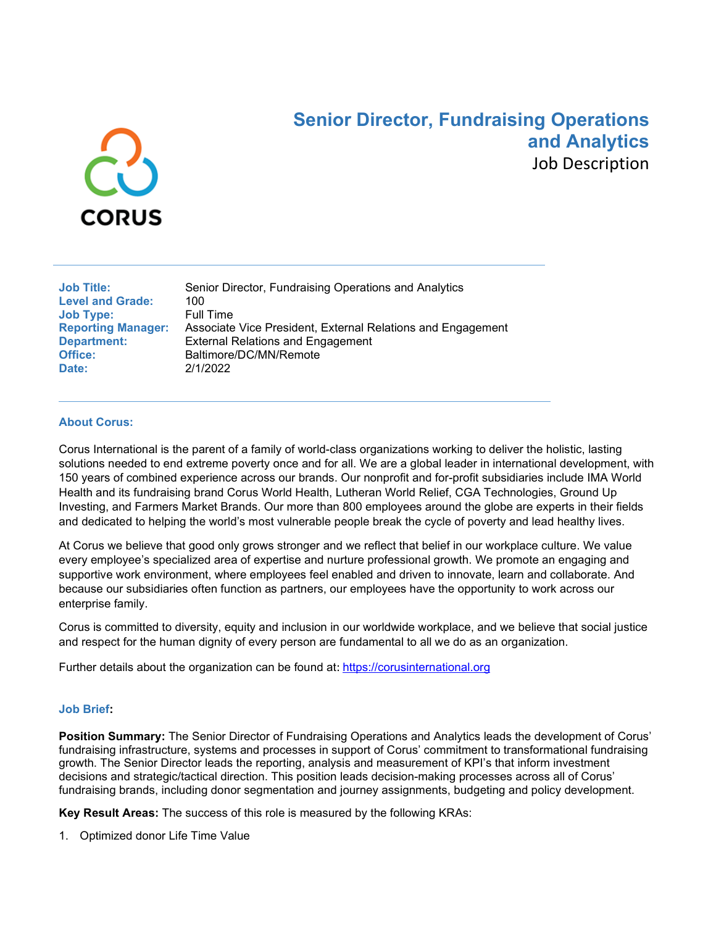

# **Senior Director, Fundraising Operations and Analytics** Job Description

| <b>Job Title:</b>         | Sen         |
|---------------------------|-------------|
| <b>Level and Grade:</b>   | 100         |
| <b>Job Type:</b>          | Full        |
| <b>Reporting Manager:</b> | Ass         |
| <b>Department:</b>        | Exte        |
| Office:                   | <b>Balt</b> |
| Date:                     | 2/1/        |

ior Director, Fundraising Operations and Analytics **Time** ociate Vice President, External Relations and Engagement **Prich Relations and Engagement Office:** Baltimore/DC/MN/Remote **Date:** 2/1/2022

#### **About Corus:**

Corus International is the parent of a family of world-class organizations working to deliver the holistic, lasting solutions needed to end extreme poverty once and for all. We are a global leader in international development, with 150 years of combined experience across our brands. Our nonprofit and for-profit subsidiaries include IMA World Health and its fundraising brand Corus World Health, Lutheran World Relief, CGA Technologies, Ground Up Investing, and Farmers Market Brands. Our more than 800 employees around the globe are experts in their fields and dedicated to helping the world's most vulnerable people break the cycle of poverty and lead healthy lives.

At Corus we believe that good only grows stronger and we reflect that belief in our workplace culture. We value every employee's specialized area of expertise and nurture professional growth. We promote an engaging and supportive work environment, where employees feel enabled and driven to innovate, learn and collaborate. And because our subsidiaries often function as partners, our employees have the opportunity to work across our enterprise family.

Corus is committed to diversity, equity and inclusion in our worldwide workplace, and we believe that social justice and respect for the human dignity of every person are fundamental to all we do as an organization.

Further details about the organization can be found at:[https://corusinternational.org](https://corusinternational.org/)

#### **Job Brief:**

**Position Summary:** The Senior Director of Fundraising Operations and Analytics leads the development of Corus' fundraising infrastructure, systems and processes in support of Corus' commitment to transformational fundraising growth. The Senior Director leads the reporting, analysis and measurement of KPI's that inform investment decisions and strategic/tactical direction. This position leads decision-making processes across all of Corus' fundraising brands, including donor segmentation and journey assignments, budgeting and policy development.

**Key Result Areas:** The success of this role is measured by the following KRAs:

1. Optimized donor Life Time Value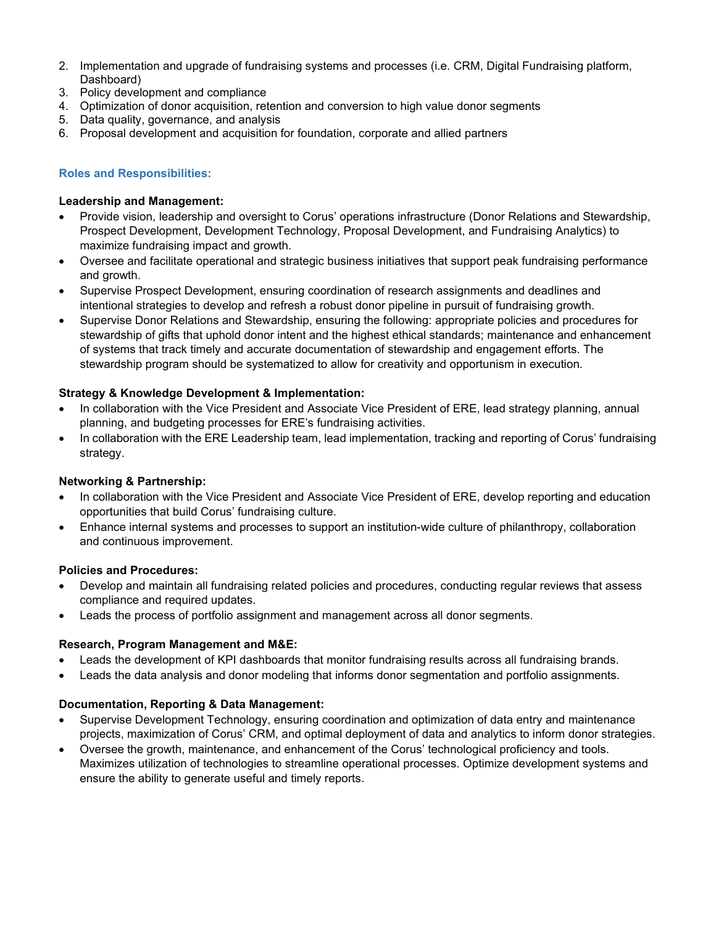- 2. Implementation and upgrade of fundraising systems and processes (i.e. CRM, Digital Fundraising platform, Dashboard)
- 3. Policy development and compliance
- 4. Optimization of donor acquisition, retention and conversion to high value donor segments
- 5. Data quality, governance, and analysis
- 6. Proposal development and acquisition for foundation, corporate and allied partners

# **Roles and Responsibilities:**

## **Leadership and Management:**

- Provide vision, leadership and oversight to Corus' operations infrastructure (Donor Relations and Stewardship, Prospect Development, Development Technology, Proposal Development, and Fundraising Analytics) to maximize fundraising impact and growth.
- Oversee and facilitate operational and strategic business initiatives that support peak fundraising performance and growth.
- Supervise Prospect Development, ensuring coordination of research assignments and deadlines and intentional strategies to develop and refresh a robust donor pipeline in pursuit of fundraising growth.
- Supervise Donor Relations and Stewardship, ensuring the following: appropriate policies and procedures for stewardship of gifts that uphold donor intent and the highest ethical standards; maintenance and enhancement of systems that track timely and accurate documentation of stewardship and engagement efforts. The stewardship program should be systematized to allow for creativity and opportunism in execution.

# **Strategy & Knowledge Development & Implementation:**

- In collaboration with the Vice President and Associate Vice President of ERE, lead strategy planning, annual planning, and budgeting processes for ERE's fundraising activities.
- In collaboration with the ERE Leadership team, lead implementation, tracking and reporting of Corus' fundraising strategy.

## **Networking & Partnership:**

- In collaboration with the Vice President and Associate Vice President of ERE, develop reporting and education opportunities that build Corus' fundraising culture.
- Enhance internal systems and processes to support an institution-wide culture of philanthropy, collaboration and continuous improvement.

## **Policies and Procedures:**

- Develop and maintain all fundraising related policies and procedures, conducting regular reviews that assess compliance and required updates.
- Leads the process of portfolio assignment and management across all donor segments.

## **Research, Program Management and M&E:**

- Leads the development of KPI dashboards that monitor fundraising results across all fundraising brands.
- Leads the data analysis and donor modeling that informs donor segmentation and portfolio assignments.

## **Documentation, Reporting & Data Management:**

- Supervise Development Technology, ensuring coordination and optimization of data entry and maintenance projects, maximization of Corus' CRM, and optimal deployment of data and analytics to inform donor strategies.
- Oversee the growth, maintenance, and enhancement of the Corus' technological proficiency and tools. Maximizes utilization of technologies to streamline operational processes. Optimize development systems and ensure the ability to generate useful and timely reports.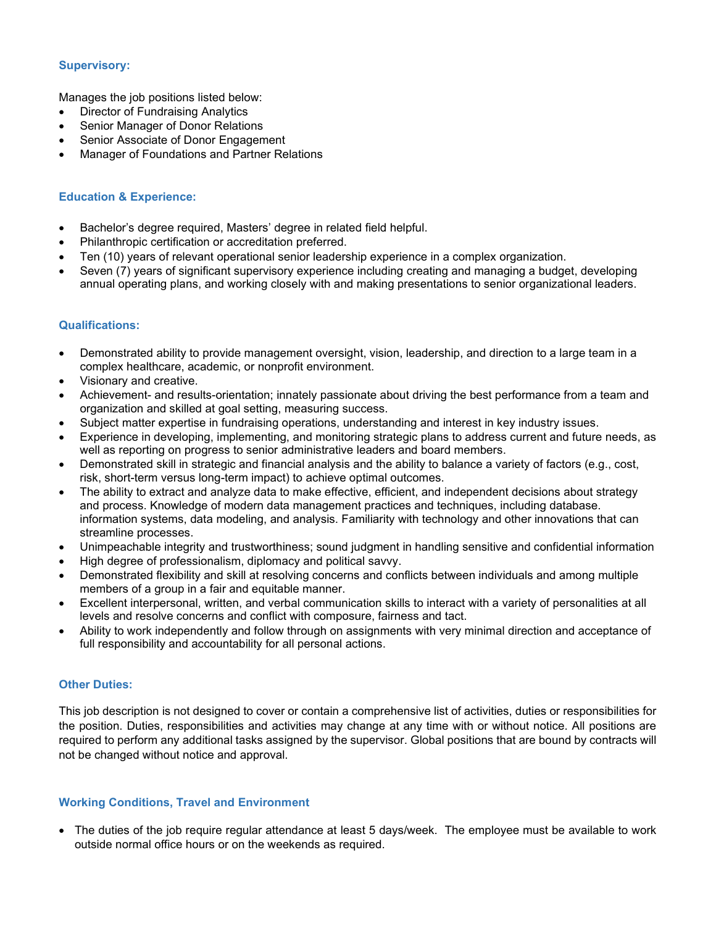# **Supervisory:**

Manages the job positions listed below:

- Director of Fundraising Analytics
- Senior Manager of Donor Relations
- Senior Associate of Donor Engagement
- Manager of Foundations and Partner Relations

# **Education & Experience:**

- Bachelor's degree required, Masters' degree in related field helpful.
- Philanthropic certification or accreditation preferred.
- Ten (10) years of relevant operational senior leadership experience in a complex organization.
- Seven (7) years of significant supervisory experience including creating and managing a budget, developing annual operating plans, and working closely with and making presentations to senior organizational leaders.

## **Qualifications:**

- Demonstrated ability to provide management oversight, vision, leadership, and direction to a large team in a complex healthcare, academic, or nonprofit environment.
- Visionary and creative.
- Achievement- and results-orientation; innately passionate about driving the best performance from a team and organization and skilled at goal setting, measuring success.
- Subject matter expertise in fundraising operations, understanding and interest in key industry issues.
- Experience in developing, implementing, and monitoring strategic plans to address current and future needs, as well as reporting on progress to senior administrative leaders and board members.
- Demonstrated skill in strategic and financial analysis and the ability to balance a variety of factors (e.g., cost, risk, short-term versus long-term impact) to achieve optimal outcomes.
- The ability to extract and analyze data to make effective, efficient, and independent decisions about strategy and process. Knowledge of modern data management practices and techniques, including database. information systems, data modeling, and analysis. Familiarity with technology and other innovations that can streamline processes.
- Unimpeachable integrity and trustworthiness; sound judgment in handling sensitive and confidential information
- High degree of professionalism, diplomacy and political savvy.
- Demonstrated flexibility and skill at resolving concerns and conflicts between individuals and among multiple members of a group in a fair and equitable manner.
- Excellent interpersonal, written, and verbal communication skills to interact with a variety of personalities at all levels and resolve concerns and conflict with composure, fairness and tact.
- Ability to work independently and follow through on assignments with very minimal direction and acceptance of full responsibility and accountability for all personal actions.

# **Other Duties:**

This job description is not designed to cover or contain a comprehensive list of activities, duties or responsibilities for the position. Duties, responsibilities and activities may change at any time with or without notice. All positions are required to perform any additional tasks assigned by the supervisor. Global positions that are bound by contracts will not be changed without notice and approval.

## **Working Conditions, Travel and Environment**

• The duties of the job require regular attendance at least 5 days/week. The employee must be available to work outside normal office hours or on the weekends as required.